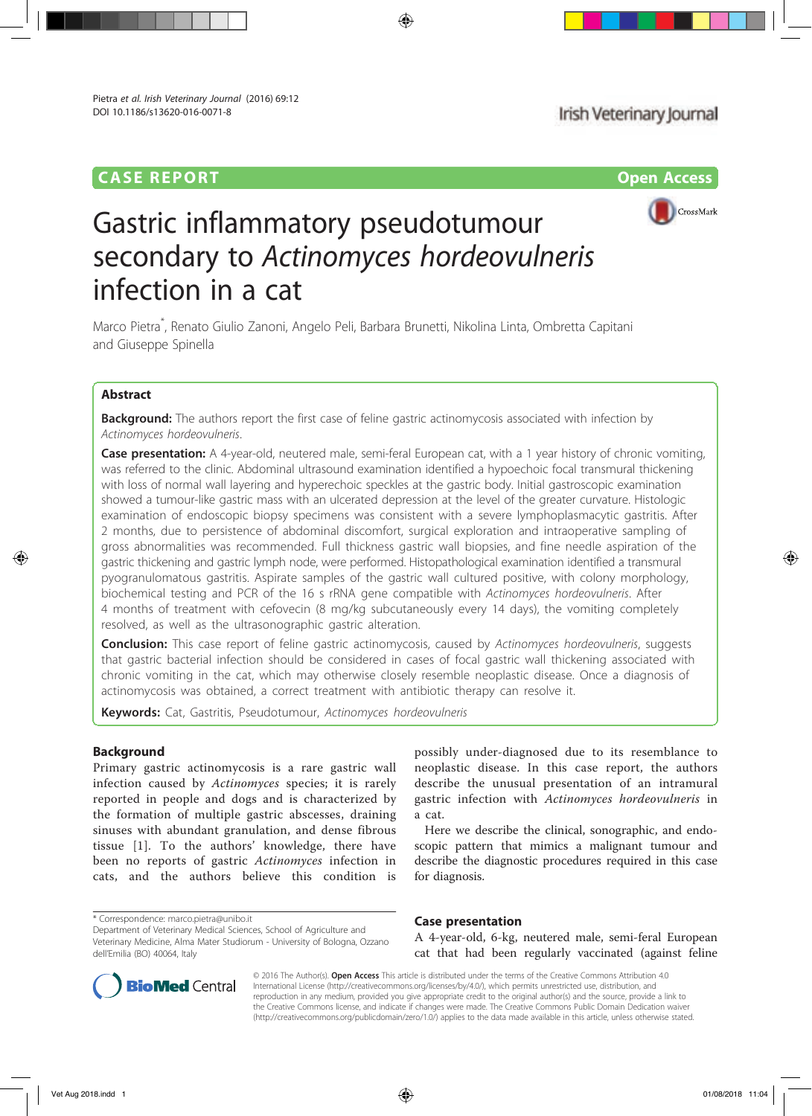# CASE REPORT Open Access



# Gastric inflammatory pseudotumour secondary to Actinomyces hordeovulneris infection in a cat

Marco Pietra\* , Renato Giulio Zanoni, Angelo Peli, Barbara Brunetti, Nikolina Linta, Ombretta Capitani and Giuseppe Spinella

# Abstract

**Background:** The authors report the first case of feline gastric actinomycosis associated with infection by Actinomyces hordeovulneris.

Case presentation: A 4-year-old, neutered male, semi-feral European cat, with a 1 year history of chronic vomiting, was referred to the clinic. Abdominal ultrasound examination identified a hypoechoic focal transmural thickening with loss of normal wall layering and hyperechoic speckles at the gastric body. Initial gastroscopic examination showed a tumour-like gastric mass with an ulcerated depression at the level of the greater curvature. Histologic examination of endoscopic biopsy specimens was consistent with a severe lymphoplasmacytic gastritis. After 2 months, due to persistence of abdominal discomfort, surgical exploration and intraoperative sampling of gross abnormalities was recommended. Full thickness gastric wall biopsies, and fine needle aspiration of the gastric thickening and gastric lymph node, were performed. Histopathological examination identified a transmural pyogranulomatous gastritis. Aspirate samples of the gastric wall cultured positive, with colony morphology, biochemical testing and PCR of the 16 s rRNA gene compatible with Actinomyces hordeovulneris. After 4 months of treatment with cefovecin (8 mg/kg subcutaneously every 14 days), the vomiting completely resolved, as well as the ultrasonographic gastric alteration.

**Conclusion:** This case report of feline gastric actinomycosis, caused by Actinomyces hordeovulneris, suggests that gastric bacterial infection should be considered in cases of focal gastric wall thickening associated with chronic vomiting in the cat, which may otherwise closely resemble neoplastic disease. Once a diagnosis of actinomycosis was obtained, a correct treatment with antibiotic therapy can resolve it.

Keywords: Cat, Gastritis, Pseudotumour, Actinomyces hordeovulneris

# **Background**

Primary gastric actinomycosis is a rare gastric wall infection caused by Actinomyces species; it is rarely reported in people and dogs and is characterized by the formation of multiple gastric abscesses, draining sinuses with abundant granulation, and dense fibrous tissue [1]. To the authors' knowledge, there have been no reports of gastric Actinomyces infection in cats, and the authors believe this condition is

possibly under-diagnosed due to its resemblance to neoplastic disease. In this case report, the authors describe the unusual presentation of an intramural gastric infection with Actinomyces hordeovulneris in a cat.

Here we describe the clinical, sonographic, and endoscopic pattern that mimics a malignant tumour and describe the diagnostic procedures required in this case for diagnosis.

### Case presentation

A 4-year-old, 6-kg, neutered male, semi-feral European cat that had been regularly vaccinated (against feline



© 2016 The Author(s). Open Access This article is distributed under the terms of the Creative Commons Attribution 4.0 International License (http://creativecommons.org/licenses/by/4.0/), which permits unrestricted use, distribution, and reproduction in any medium, provided you give appropriate credit to the original author(s) and the source, provide a link to the Creative Commons license, and indicate if changes were made. The Creative Commons Public Domain Dedication waiver (http://creativecommons.org/publicdomain/zero/1.0/) applies to the data made available in this article, unless otherwise stated.

<sup>\*</sup> Correspondence: marco.pietra@unibo.it

Department of Veterinary Medical Sciences, School of Agriculture and Veterinary Medicine, Alma Mater Studiorum - University of Bologna, Ozzano dell'Emilia (BO) 40064, Italy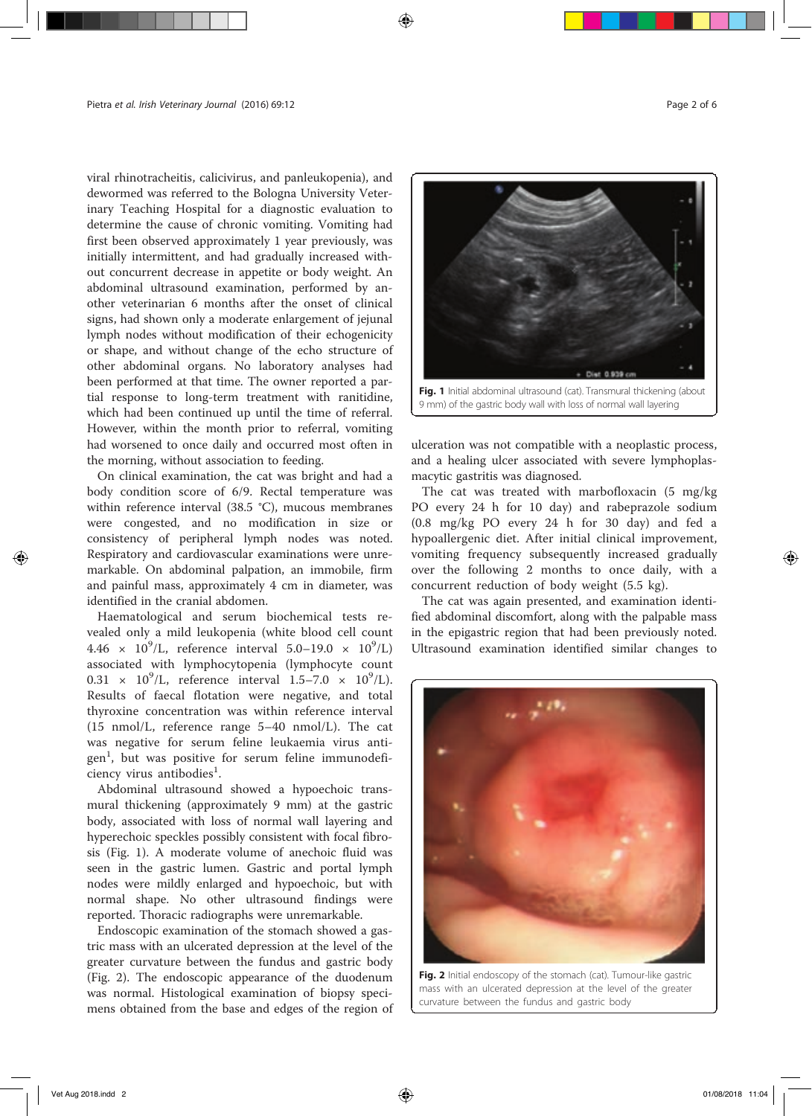viral rhinotracheitis, calicivirus, and panleukopenia), and dewormed was referred to the Bologna University Veterinary Teaching Hospital for a diagnostic evaluation to determine the cause of chronic vomiting. Vomiting had first been observed approximately 1 year previously, was initially intermittent, and had gradually increased without concurrent decrease in appetite or body weight. An abdominal ultrasound examination, performed by another veterinarian 6 months after the onset of clinical signs, had shown only a moderate enlargement of jejunal lymph nodes without modification of their echogenicity or shape, and without change of the echo structure of other abdominal organs. No laboratory analyses had been performed at that time. The owner reported a partial response to long-term treatment with ranitidine, which had been continued up until the time of referral. However, within the month prior to referral, vomiting had worsened to once daily and occurred most often in the morning, without association to feeding.

On clinical examination, the cat was bright and had a body condition score of 6/9. Rectal temperature was within reference interval (38.5 °C), mucous membranes were congested, and no modification in size or consistency of peripheral lymph nodes was noted. Respiratory and cardiovascular examinations were unremarkable. On abdominal palpation, an immobile, firm and painful mass, approximately 4 cm in diameter, was identified in the cranial abdomen.

Haematological and serum biochemical tests revealed only a mild leukopenia (white blood cell count  $4.46 \times 10^{9}$ /L, reference interval 5.0–19.0  $\times 10^{9}$ /L) associated with lymphocytopenia (lymphocyte count  $0.31 \times 10^{9}$ /L, reference interval  $1.5 - 7.0 \times 10^{9}$ /L). Results of faecal flotation were negative, and total thyroxine concentration was within reference interval (15 nmol/L, reference range 5–40 nmol/L). The cat was negative for serum feline leukaemia virus antigen<sup>1</sup>, but was positive for serum feline immunodefi $c$ iency virus antibodies<sup>1</sup>.

Abdominal ultrasound showed a hypoechoic transmural thickening (approximately 9 mm) at the gastric body, associated with loss of normal wall layering and hyperechoic speckles possibly consistent with focal fibrosis (Fig. 1). A moderate volume of anechoic fluid was seen in the gastric lumen. Gastric and portal lymph nodes were mildly enlarged and hypoechoic, but with normal shape. No other ultrasound findings were reported. Thoracic radiographs were unremarkable.

Endoscopic examination of the stomach showed a gastric mass with an ulcerated depression at the level of the greater curvature between the fundus and gastric body (Fig. 2). The endoscopic appearance of the duodenum was normal. Histological examination of biopsy specimens obtained from the base and edges of the region of



ulceration was not compatible with a neoplastic process, and a healing ulcer associated with severe lymphoplasmacytic gastritis was diagnosed.

The cat was treated with marbofloxacin (5 mg/kg PO every 24 h for 10 day) and rabeprazole sodium (0.8 mg/kg PO every 24 h for 30 day) and fed a hypoallergenic diet. After initial clinical improvement, vomiting frequency subsequently increased gradually over the following 2 months to once daily, with a concurrent reduction of body weight (5.5 kg).

The cat was again presented, and examination identified abdominal discomfort, along with the palpable mass in the epigastric region that had been previously noted. Ultrasound examination identified similar changes to



Fig. 2 Initial endoscopy of the stomach (cat). Tumour-like gastric mass with an ulcerated depression at the level of the greater curvature between the fundus and gastric body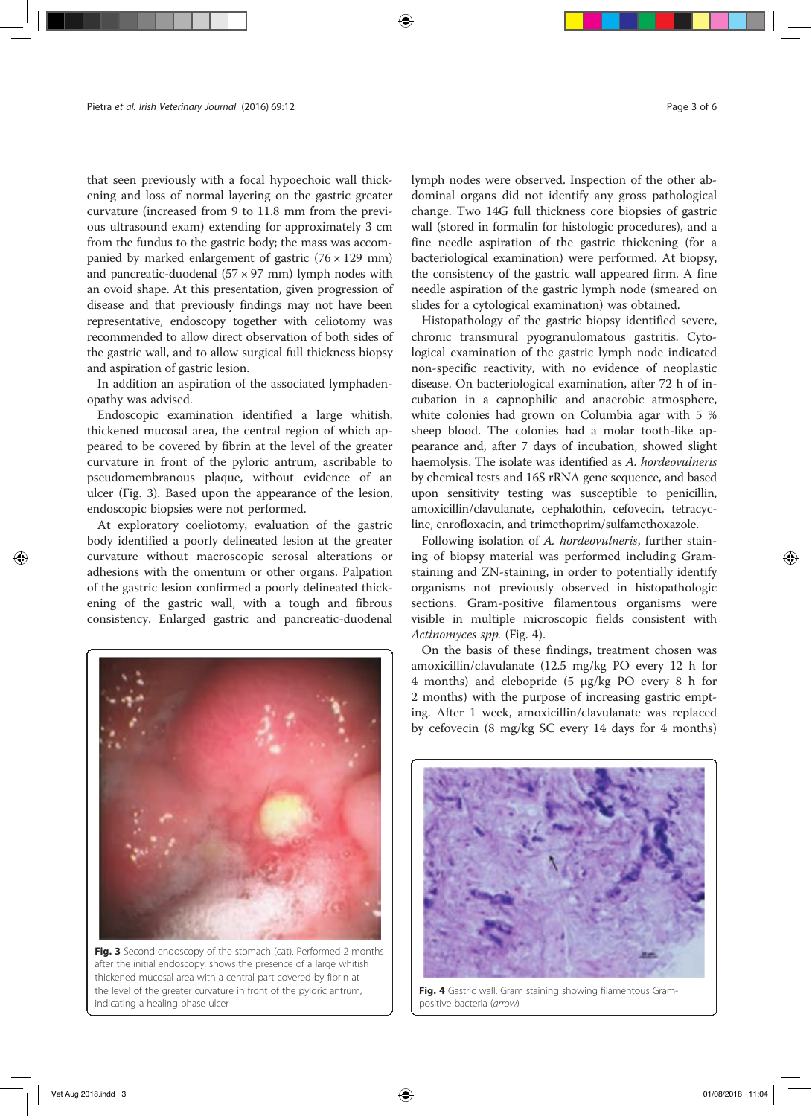that seen previously with a focal hypoechoic wall thickening and loss of normal layering on the gastric greater curvature (increased from 9 to 11.8 mm from the previous ultrasound exam) extending for approximately 3 cm from the fundus to the gastric body; the mass was accompanied by marked enlargement of gastric  $(76 \times 129 \text{ mm})$ and pancreatic-duodenal  $(57 \times 97 \text{ mm})$  lymph nodes with an ovoid shape. At this presentation, given progression of disease and that previously findings may not have been representative, endoscopy together with celiotomy was recommended to allow direct observation of both sides of the gastric wall, and to allow surgical full thickness biopsy and aspiration of gastric lesion.

In addition an aspiration of the associated lymphadenopathy was advised.

Endoscopic examination identified a large whitish, thickened mucosal area, the central region of which appeared to be covered by fibrin at the level of the greater curvature in front of the pyloric antrum, ascribable to pseudomembranous plaque, without evidence of an ulcer (Fig. 3). Based upon the appearance of the lesion, endoscopic biopsies were not performed.

At exploratory coeliotomy, evaluation of the gastric body identified a poorly delineated lesion at the greater curvature without macroscopic serosal alterations or adhesions with the omentum or other organs. Palpation of the gastric lesion confirmed a poorly delineated thickening of the gastric wall, with a tough and fibrous consistency. Enlarged gastric and pancreatic-duodenal



Fig. 3 Second endoscopy of the stomach (cat). Performed 2 months after the initial endoscopy, shows the presence of a large whitish thickened mucosal area with a central part covered by fibrin at the level of the greater curvature in front of the pyloric antrum, indicating a healing phase ulcer

lymph nodes were observed. Inspection of the other abdominal organs did not identify any gross pathological change. Two 14G full thickness core biopsies of gastric wall (stored in formalin for histologic procedures), and a fine needle aspiration of the gastric thickening (for a bacteriological examination) were performed. At biopsy, the consistency of the gastric wall appeared firm. A fine needle aspiration of the gastric lymph node (smeared on slides for a cytological examination) was obtained.

Histopathology of the gastric biopsy identified severe, chronic transmural pyogranulomatous gastritis. Cytological examination of the gastric lymph node indicated non-specific reactivity, with no evidence of neoplastic disease. On bacteriological examination, after 72 h of incubation in a capnophilic and anaerobic atmosphere, white colonies had grown on Columbia agar with 5 % sheep blood. The colonies had a molar tooth-like appearance and, after 7 days of incubation, showed slight haemolysis. The isolate was identified as A. hordeovulneris by chemical tests and 16S rRNA gene sequence, and based upon sensitivity testing was susceptible to penicillin, amoxicillin/clavulanate, cephalothin, cefovecin, tetracycline, enrofloxacin, and trimethoprim/sulfamethoxazole.

Following isolation of A. hordeovulneris, further staining of biopsy material was performed including Gramstaining and ZN-staining, in order to potentially identify organisms not previously observed in histopathologic sections. Gram-positive filamentous organisms were visible in multiple microscopic fields consistent with Actinomyces spp. (Fig. 4).

On the basis of these findings, treatment chosen was amoxicillin/clavulanate (12.5 mg/kg PO every 12 h for 4 months) and clebopride (5 μg/kg PO every 8 h for 2 months) with the purpose of increasing gastric empting. After 1 week, amoxicillin/clavulanate was replaced by cefovecin (8 mg/kg SC every 14 days for 4 months)



Fig. 4 Gastric wall. Gram staining showing filamentous Grampositive bacteria (arrow)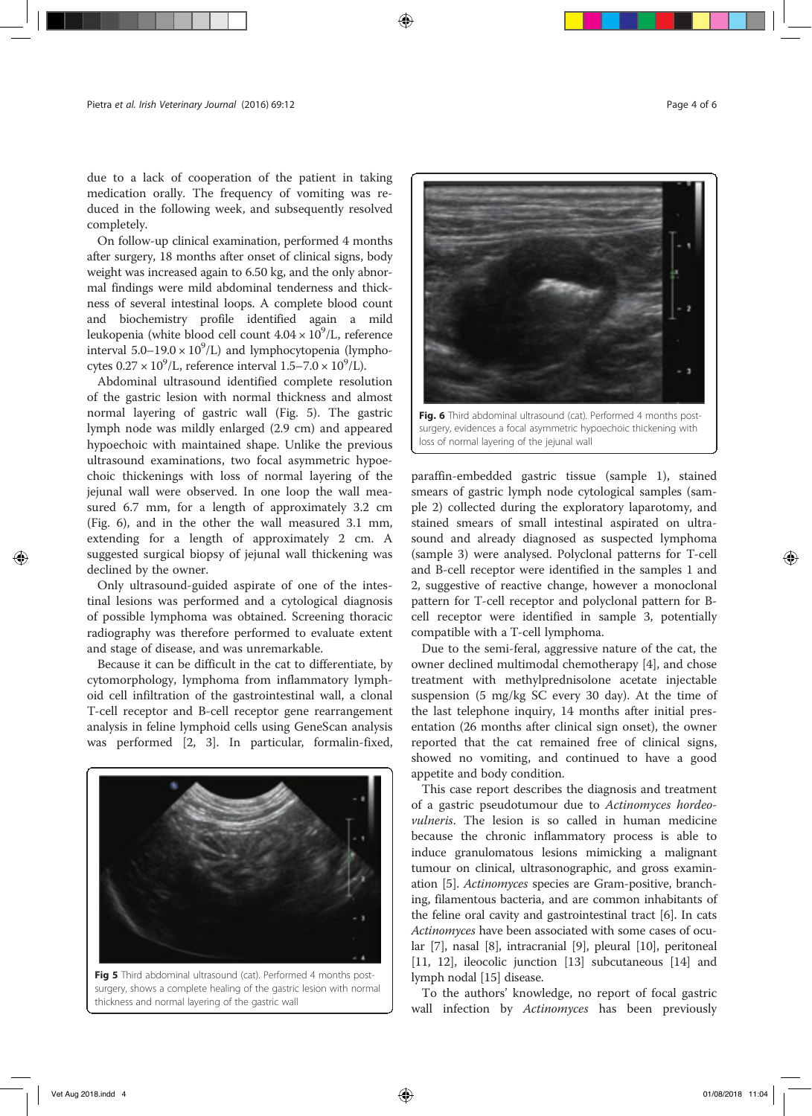due to a lack of cooperation of the patient in taking medication orally. The frequency of vomiting was reduced in the following week, and subsequently resolved completely.

On follow-up clinical examination, performed 4 months after surgery, 18 months after onset of clinical signs, body weight was increased again to 6.50 kg, and the only abnormal findings were mild abdominal tenderness and thickness of several intestinal loops. A complete blood count and biochemistry profile identified again a mild leukopenia (white blood cell count  $4.04 \times 10^9$ /L, reference interval  $5.0-19.0 \times 10^9$ /L) and lymphocytopenia (lymphocytes  $0.27 \times 10^9$ /L, reference interval  $1.5 - 7.0 \times 10^9$ /L).

Abdominal ultrasound identified complete resolution of the gastric lesion with normal thickness and almost normal layering of gastric wall (Fig. 5). The gastric lymph node was mildly enlarged (2.9 cm) and appeared hypoechoic with maintained shape. Unlike the previous ultrasound examinations, two focal asymmetric hypoechoic thickenings with loss of normal layering of the jejunal wall were observed. In one loop the wall measured 6.7 mm, for a length of approximately 3.2 cm (Fig. 6), and in the other the wall measured 3.1 mm, extending for a length of approximately 2 cm. A suggested surgical biopsy of jejunal wall thickening was declined by the owner.

Only ultrasound-guided aspirate of one of the intestinal lesions was performed and a cytological diagnosis of possible lymphoma was obtained. Screening thoracic radiography was therefore performed to evaluate extent and stage of disease, and was unremarkable.

Because it can be difficult in the cat to differentiate, by cytomorphology, lymphoma from inflammatory lymphoid cell infiltration of the gastrointestinal wall, a clonal T-cell receptor and B-cell receptor gene rearrangement analysis in feline lymphoid cells using GeneScan analysis was performed [2, 3]. In particular, formalin-fixed,



Fig 5 Third abdominal ultrasound (cat). Performed 4 months postsurgery, shows a complete healing of the gastric lesion with normal thickness and normal layering of the gastric wall



surgery, evidences a focal asymmetric hypoechoic thickening with loss of normal layering of the jejunal wall

paraffin-embedded gastric tissue (sample 1), stained smears of gastric lymph node cytological samples (sample 2) collected during the exploratory laparotomy, and stained smears of small intestinal aspirated on ultrasound and already diagnosed as suspected lymphoma (sample 3) were analysed. Polyclonal patterns for T-cell and B-cell receptor were identified in the samples 1 and 2, suggestive of reactive change, however a monoclonal pattern for T-cell receptor and polyclonal pattern for Bcell receptor were identified in sample 3, potentially compatible with a T-cell lymphoma.

Due to the semi-feral, aggressive nature of the cat, the owner declined multimodal chemotherapy [4], and chose treatment with methylprednisolone acetate injectable suspension (5 mg/kg SC every 30 day). At the time of the last telephone inquiry, 14 months after initial presentation (26 months after clinical sign onset), the owner reported that the cat remained free of clinical signs, showed no vomiting, and continued to have a good appetite and body condition.

This case report describes the diagnosis and treatment of a gastric pseudotumour due to Actinomyces hordeovulneris. The lesion is so called in human medicine because the chronic inflammatory process is able to induce granulomatous lesions mimicking a malignant tumour on clinical, ultrasonographic, and gross examination [5]. Actinomyces species are Gram-positive, branching, filamentous bacteria, and are common inhabitants of the feline oral cavity and gastrointestinal tract [6]. In cats Actinomyces have been associated with some cases of ocular [7], nasal [8], intracranial [9], pleural [10], peritoneal [11, 12], ileocolic junction [13] subcutaneous [14] and lymph nodal [15] disease.

To the authors' knowledge, no report of focal gastric wall infection by Actinomyces has been previously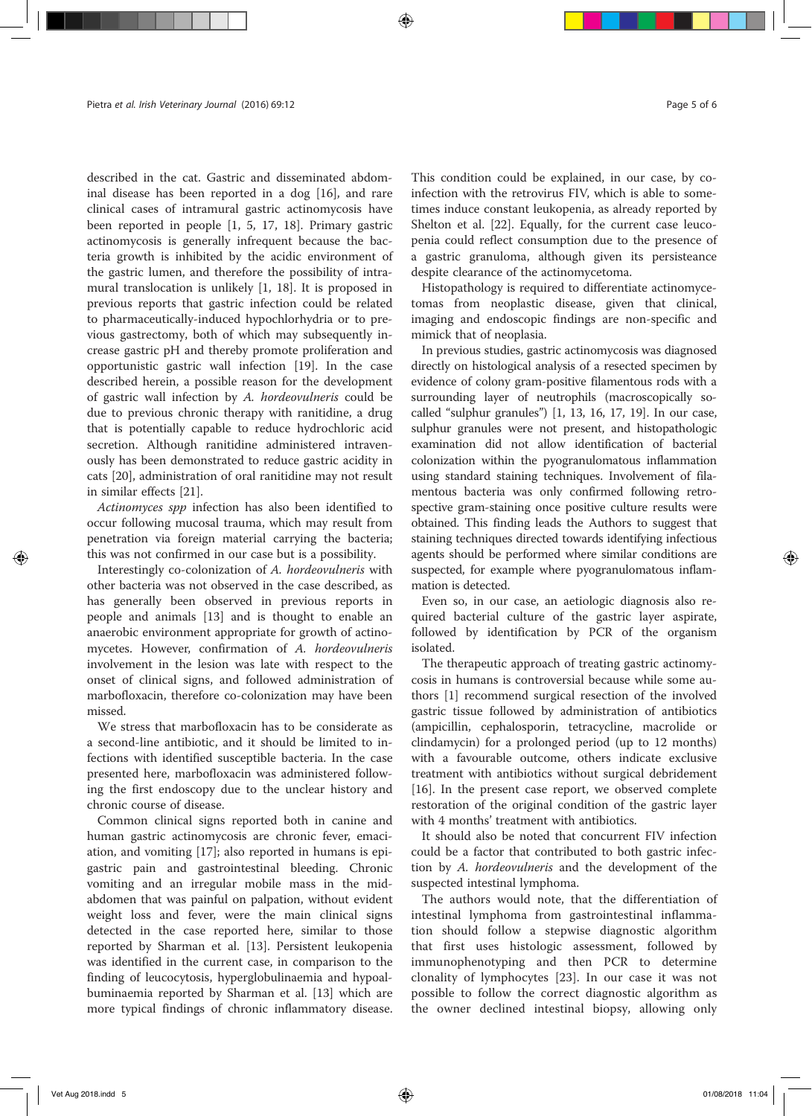described in the cat. Gastric and disseminated abdominal disease has been reported in a dog [16], and rare clinical cases of intramural gastric actinomycosis have been reported in people [1, 5, 17, 18]. Primary gastric actinomycosis is generally infrequent because the bacteria growth is inhibited by the acidic environment of the gastric lumen, and therefore the possibility of intramural translocation is unlikely [1, 18]. It is proposed in previous reports that gastric infection could be related to pharmaceutically-induced hypochlorhydria or to previous gastrectomy, both of which may subsequently increase gastric pH and thereby promote proliferation and opportunistic gastric wall infection [19]. In the case described herein, a possible reason for the development of gastric wall infection by A. hordeovulneris could be due to previous chronic therapy with ranitidine, a drug that is potentially capable to reduce hydrochloric acid secretion. Although ranitidine administered intravenously has been demonstrated to reduce gastric acidity in cats [20], administration of oral ranitidine may not result in similar effects [21].

Actinomyces spp infection has also been identified to occur following mucosal trauma, which may result from penetration via foreign material carrying the bacteria; this was not confirmed in our case but is a possibility.

Interestingly co-colonization of A. hordeovulneris with other bacteria was not observed in the case described, as has generally been observed in previous reports in people and animals [13] and is thought to enable an anaerobic environment appropriate for growth of actinomycetes. However, confirmation of A. hordeovulneris involvement in the lesion was late with respect to the onset of clinical signs, and followed administration of marbofloxacin, therefore co-colonization may have been missed.

We stress that marbofloxacin has to be considerate as a second-line antibiotic, and it should be limited to infections with identified susceptible bacteria. In the case presented here, marbofloxacin was administered following the first endoscopy due to the unclear history and chronic course of disease.

Common clinical signs reported both in canine and human gastric actinomycosis are chronic fever, emaciation, and vomiting [17]; also reported in humans is epigastric pain and gastrointestinal bleeding. Chronic vomiting and an irregular mobile mass in the midabdomen that was painful on palpation, without evident weight loss and fever, were the main clinical signs detected in the case reported here, similar to those reported by Sharman et al. [13]. Persistent leukopenia was identified in the current case, in comparison to the finding of leucocytosis, hyperglobulinaemia and hypoalbuminaemia reported by Sharman et al. [13] which are more typical findings of chronic inflammatory disease. This condition could be explained, in our case, by coinfection with the retrovirus FIV, which is able to sometimes induce constant leukopenia, as already reported by Shelton et al. [22]. Equally, for the current case leucopenia could reflect consumption due to the presence of a gastric granuloma, although given its persisteance despite clearance of the actinomycetoma.

Histopathology is required to differentiate actinomycetomas from neoplastic disease, given that clinical, imaging and endoscopic findings are non-specific and mimick that of neoplasia.

In previous studies, gastric actinomycosis was diagnosed directly on histological analysis of a resected specimen by evidence of colony gram-positive filamentous rods with a surrounding layer of neutrophils (macroscopically socalled "sulphur granules") [1, 13, 16, 17, 19]. In our case, sulphur granules were not present, and histopathologic examination did not allow identification of bacterial colonization within the pyogranulomatous inflammation using standard staining techniques. Involvement of filamentous bacteria was only confirmed following retrospective gram-staining once positive culture results were obtained. This finding leads the Authors to suggest that staining techniques directed towards identifying infectious agents should be performed where similar conditions are suspected, for example where pyogranulomatous inflammation is detected.

Even so, in our case, an aetiologic diagnosis also required bacterial culture of the gastric layer aspirate, followed by identification by PCR of the organism isolated.

The therapeutic approach of treating gastric actinomycosis in humans is controversial because while some authors [1] recommend surgical resection of the involved gastric tissue followed by administration of antibiotics (ampicillin, cephalosporin, tetracycline, macrolide or clindamycin) for a prolonged period (up to 12 months) with a favourable outcome, others indicate exclusive treatment with antibiotics without surgical debridement [16]. In the present case report, we observed complete restoration of the original condition of the gastric layer with 4 months' treatment with antibiotics.

It should also be noted that concurrent FIV infection could be a factor that contributed to both gastric infection by A. hordeovulneris and the development of the suspected intestinal lymphoma.

The authors would note, that the differentiation of intestinal lymphoma from gastrointestinal inflammation should follow a stepwise diagnostic algorithm that first uses histologic assessment, followed by immunophenotyping and then PCR to determine clonality of lymphocytes [23]. In our case it was not possible to follow the correct diagnostic algorithm as the owner declined intestinal biopsy, allowing only